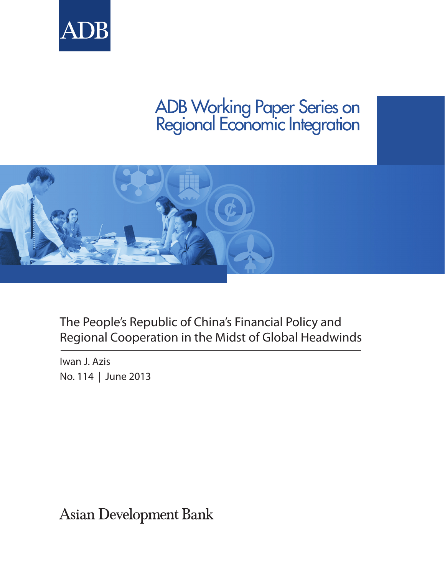



# The People's Republic of China's Financial Policy and Regional Cooperation in the Midst of Global Headwinds

Iwan J. Azis No. 114 | June 2013

**Asian Development Bank**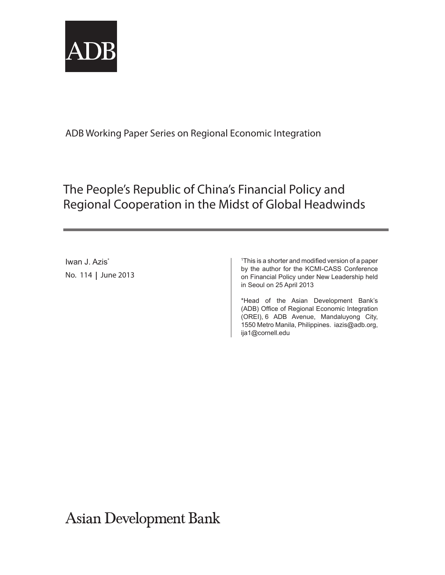

# The People's Republic of China's Financial Policy and Regional Cooperation in the Midst of Global Headwinds

Iwan J. Azis<sup>\*</sup> No. 114 June 2013

1 This is a shorter and modified version of a paper by the author for the KCMI-CASS Conference on Financial Policy under New Leadership held in Seoul on 25 April 2013

\*Head of the Asian Development Bank's (ADB) Office of Regional Economic Integration (OREI), 6 ADB Avenue, Mandaluyong City, 1550 Metro Manila, Philippines. iazis@adb.org, ija1@cornell.edu

**Asian Development Bank**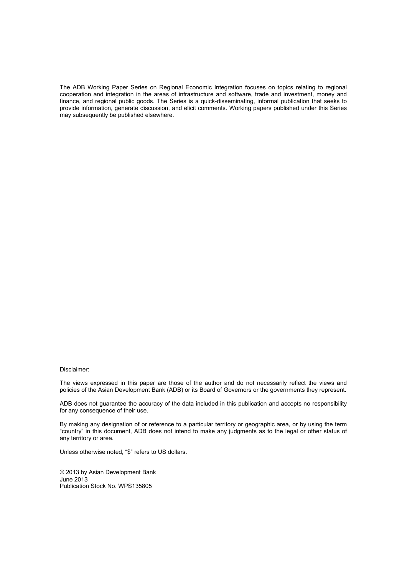The ADB Working Paper Series on Regional Economic Integration focuses on topics relating to regional cooperation and integration in the areas of infrastructure and software, trade and investment, money and finance, and regional public goods. The Series is a quick-disseminating, informal publication that seeks to provide information, generate discussion, and elicit comments. Working papers published under this Series may subsequently be published elsewhere.

#### Disclaimer:

The views expressed in this paper are those of the author and do not necessarily reflect the views and policies of the Asian Development Bank (ADB) or its Board of Governors or the governments they represent.

ADB does not guarantee the accuracy of the data included in this publication and accepts no responsibility for any consequence of their use.

By making any designation of or reference to a particular territory or geographic area, or by using the term "country" in this document, ADB does not intend to make any judgments as to the legal or other status of any territory or area.

Unless otherwise noted, "\$" refers to US dollars.

© 2013 by Asian Development Bank June 2013 Publication Stock No. WPS135805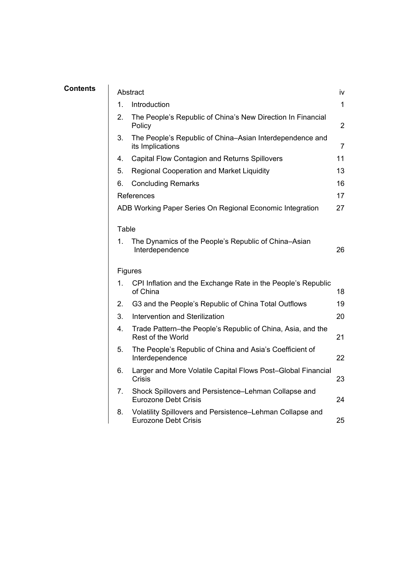| Contents | Abstract |                                                                                          |                |  |  |  |  |
|----------|----------|------------------------------------------------------------------------------------------|----------------|--|--|--|--|
|          | 1.       | Introduction                                                                             | 1              |  |  |  |  |
|          | 2.       | The People's Republic of China's New Direction In Financial<br>Policy                    | $\overline{2}$ |  |  |  |  |
|          | 3.       | The People's Republic of China–Asian Interdependence and<br>its Implications             | $\overline{7}$ |  |  |  |  |
|          | 4.       | <b>Capital Flow Contagion and Returns Spillovers</b>                                     | 11             |  |  |  |  |
|          | 5.       | Regional Cooperation and Market Liquidity                                                | 13             |  |  |  |  |
|          | 6.       | <b>Concluding Remarks</b>                                                                | 16             |  |  |  |  |
|          |          | References<br>17                                                                         |                |  |  |  |  |
|          |          | ADB Working Paper Series On Regional Economic Integration                                | 27             |  |  |  |  |
|          | Table    |                                                                                          |                |  |  |  |  |
|          | 1.       | The Dynamics of the People's Republic of China–Asian<br>Interdependence                  | 26             |  |  |  |  |
|          |          | Figures                                                                                  |                |  |  |  |  |
|          | 1.       | CPI Inflation and the Exchange Rate in the People's Republic<br>of China                 | 18             |  |  |  |  |
|          | 2.       | G3 and the People's Republic of China Total Outflows                                     | 19             |  |  |  |  |
|          | 3.       | Intervention and Sterilization                                                           | 20             |  |  |  |  |
|          | 4.       | Trade Pattern-the People's Republic of China, Asia, and the<br>Rest of the World         | 21             |  |  |  |  |
|          | 5.       | The People's Republic of China and Asia's Coefficient of<br>Interdependence              | 22             |  |  |  |  |
|          | 6.       | Larger and More Volatile Capital Flows Post-Global Financial<br>Crisis                   | 23             |  |  |  |  |
|          | 7.       | Shock Spillovers and Persistence-Lehman Collapse and<br><b>Eurozone Debt Crisis</b>      | 24             |  |  |  |  |
|          | 8.       | Volatility Spillovers and Persistence-Lehman Collapse and<br><b>Eurozone Debt Crisis</b> | 25             |  |  |  |  |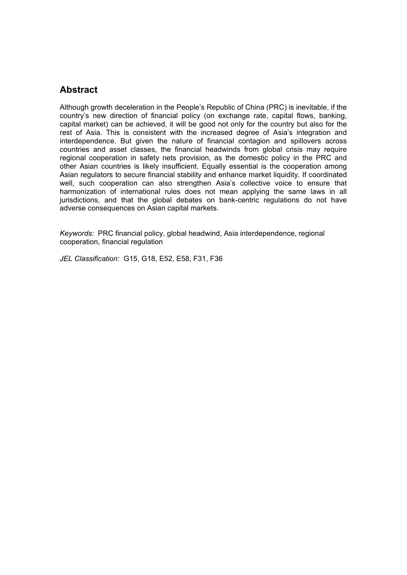# **Abstract**

Although growth deceleration in the People's Republic of China (PRC) is inevitable, if the country's new direction of financial policy (on exchange rate, capital flows, banking, capital market) can be achieved, it will be good not only for the country but also for the rest of Asia. This is consistent with the increased degree of Asia's integration and interdependence. But given the nature of financial contagion and spillovers across countries and asset classes, the financial headwinds from global crisis may require regional cooperation in safety nets provision, as the domestic policy in the PRC and other Asian countries is likely insufficient. Equally essential is the cooperation among Asian regulators to secure financial stability and enhance market liquidity. If coordinated well, such cooperation can also strengthen Asia's collective voice to ensure that harmonization of international rules does not mean applying the same laws in all jurisdictions, and that the global debates on bank-centric regulations do not have adverse consequences on Asian capital markets.

*Keywords:* PRC financial policy, global headwind, Asia interdependence, regional cooperation, financial regulation

*JEL Classification:* G15, G18, E52, E58, F31, F36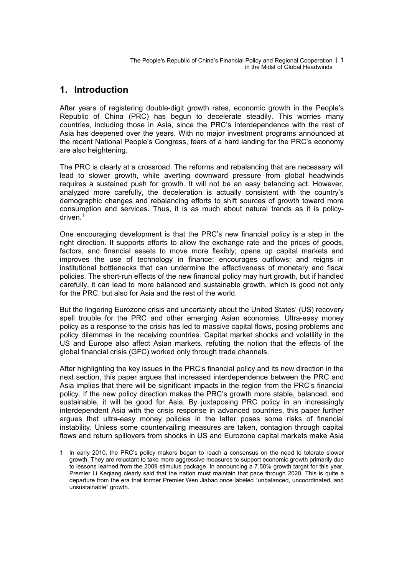The People's Republic of China's Financial Policy and Regional Cooperation | 1 in the Midst of Global Headwinds

### **1. Introduction**

After years of registering double-digit growth rates, economic growth in the People's Republic of China (PRC) has begun to decelerate steadily. This worries many countries, including those in Asia, since the PRC's interdependence with the rest of Asia has deepened over the years. With no major investment programs announced at the recent National People's Congress, fears of a hard landing for the PRC's economy are also heightening.

The PRC is clearly at a crossroad. The reforms and rebalancing that are necessary will lead to slower growth, while averting downward pressure from global headwinds requires a sustained push for growth. It will not be an easy balancing act. However, analyzed more carefully, the deceleration is actually consistent with the country's demographic changes and rebalancing efforts to shift sources of growth toward more consumption and services. Thus, it is as much about natural trends as it is policydriven.<sup>1</sup>

One encouraging development is that the PRC's new financial policy is a step in the right direction. It supports efforts to allow the exchange rate and the prices of goods, factors, and financial assets to move more flexibly; opens up capital markets and improves the use of technology in finance; encourages outflows; and reigns in institutional bottlenecks that can undermine the effectiveness of monetary and fiscal policies. The short-run effects of the new financial policy may hurt growth, but if handled carefully, it can lead to more balanced and sustainable growth, which is good not only for the PRC, but also for Asia and the rest of the world.

But the lingering Eurozone crisis and uncertainty about the United States' (US) recovery spell trouble for the PRC and other emerging Asian economies. Ultra-easy money policy as a response to the crisis has led to massive capital flows, posing problems and policy dilemmas in the receiving countries. Capital market shocks and volatility in the US and Europe also affect Asian markets, refuting the notion that the effects of the global financial crisis (GFC) worked only through trade channels.

After highlighting the key issues in the PRC's financial policy and its new direction in the next section, this paper argues that increased interdependence between the PRC and Asia implies that there will be significant impacts in the region from the PRC's financial policy. If the new policy direction makes the PRC's growth more stable, balanced, and sustainable, it will be good for Asia. By juxtaposing PRC policy in an increasingly interdependent Asia with the crisis response in advanced countries, this paper further argues that ultra-easy money policies in the latter poses some risks of financial instability. Unless some countervailing measures are taken, contagion through capital flows and return spillovers from shocks in US and Eurozone capital markets make Asia

<sup>1</sup> In early 2010, the PRC's policy makers began to reach a consensus on the need to tolerate slower growth. They are reluctant to take more aggressive measures to support economic growth primarily due to lessons learned from the 2009 stimulus package. In announcing a 7.50% growth target for this year, Premier Li Keqiang clearly said that the nation must maintain that pace through 2020. This is quite a departure from the era that former Premier Wen Jiabao once labeled "unbalanced, uncoordinated, and unsustainable" growth.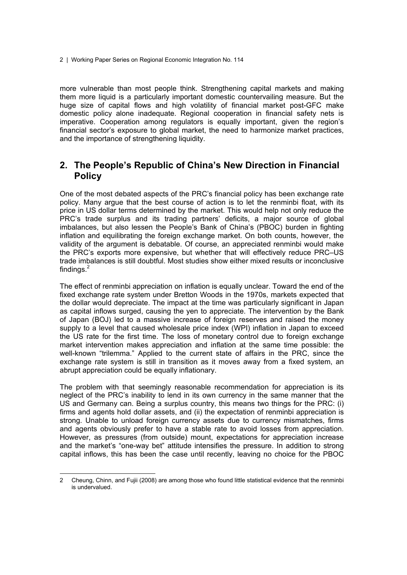more vulnerable than most people think. Strengthening capital markets and making them more liquid is a particularly important domestic countervailing measure. But the huge size of capital flows and high volatility of financial market post-GFC make domestic policy alone inadequate. Regional cooperation in financial safety nets is imperative. Cooperation among regulators is equally important, given the region's financial sector's exposure to global market, the need to harmonize market practices, and the importance of strengthening liquidity.

# **2. The People's Republic of China's New Direction in Financial Policy**

One of the most debated aspects of the PRC's financial policy has been exchange rate policy. Many argue that the best course of action is to let the renminbi float, with its price in US dollar terms determined by the market. This would help not only reduce the PRC's trade surplus and its trading partners' deficits, a major source of global imbalances, but also lessen the People's Bank of China's (PBOC) burden in fighting inflation and equilibrating the foreign exchange market. On both counts, however, the validity of the argument is debatable. Of course, an appreciated renminbi would make the PRC's exports more expensive, but whether that will effectively reduce PRC–US trade imbalances is still doubtful. Most studies show either mixed results or inconclusive findings. $2$ 

The effect of renminbi appreciation on inflation is equally unclear. Toward the end of the fixed exchange rate system under Bretton Woods in the 1970s, markets expected that the dollar would depreciate. The impact at the time was particularly significant in Japan as capital inflows surged, causing the yen to appreciate. The intervention by the Bank of Japan (BOJ) led to a massive increase of foreign reserves and raised the money supply to a level that caused wholesale price index (WPI) inflation in Japan to exceed the US rate for the first time. The loss of monetary control due to foreign exchange market intervention makes appreciation and inflation at the same time possible: the well-known "trilemma." Applied to the current state of affairs in the PRC, since the exchange rate system is still in transition as it moves away from a fixed system, an abrupt appreciation could be equally inflationary.

The problem with that seemingly reasonable recommendation for appreciation is its neglect of the PRC's inability to lend in its own currency in the same manner that the US and Germany can. Being a surplus country, this means two things for the PRC: (i) firms and agents hold dollar assets, and (ii) the expectation of renminbi appreciation is strong. Unable to unload foreign currency assets due to currency mismatches, firms and agents obviously prefer to have a stable rate to avoid losses from appreciation. However, as pressures (from outside) mount, expectations for appreciation increase and the market's "one-way bet" attitude intensifies the pressure. In addition to strong capital inflows, this has been the case until recently, leaving no choice for the PBOC

<sup>2</sup> Cheung, Chinn, and Fujii (2008) are among those who found little statistical evidence that the renminbi is undervalued.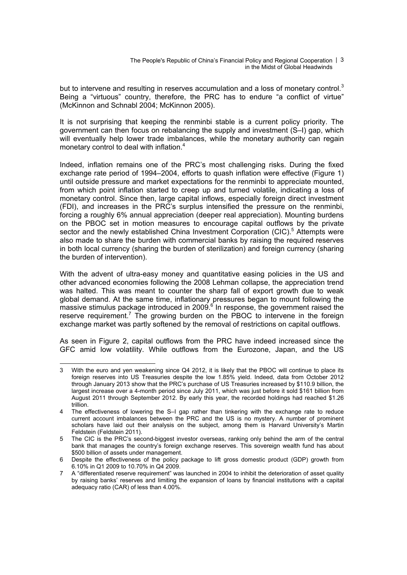The People's Republic of China's Financial Policy and Regional Cooperation | 3 in the Midst of Global Headwinds

but to intervene and resulting in reserves accumulation and a loss of monetary control.<sup>3</sup> Being a "virtuous" country, therefore, the PRC has to endure "a conflict of virtue" (McKinnon and Schnabl 2004; McKinnon 2005).

It is not surprising that keeping the renminbi stable is a current policy priority. The government can then focus on rebalancing the supply and investment (S–I) gap, which will eventually help lower trade imbalances, while the monetary authority can regain monetary control to deal with inflation.<sup>4</sup>

Indeed, inflation remains one of the PRC's most challenging risks. During the fixed exchange rate period of 1994–2004, efforts to quash inflation were effective (Figure 1) until outside pressure and market expectations for the renminbi to appreciate mounted, from which point inflation started to creep up and turned volatile, indicating a loss of monetary control. Since then, large capital inflows, especially foreign direct investment (FDI), and increases in the PRC's surplus intensified the pressure on the renminbi, forcing a roughly 6% annual appreciation (deeper real appreciation). Mounting burdens on the PBOC set in motion measures to encourage capital outflows by the private sector and the newly established China Investment Corporation (CIC).<sup>5</sup> Attempts were also made to share the burden with commercial banks by raising the required reserves in both local currency (sharing the burden of sterilization) and foreign currency (sharing the burden of intervention).

With the advent of ultra-easy money and quantitative easing policies in the US and other advanced economies following the 2008 Lehman collapse, the appreciation trend was halted. This was meant to counter the sharp fall of export growth due to weak global demand. At the same time, inflationary pressures began to mount following the  $m$ assive stimulus package introduced in 2009. $6$  In response, the government raised the reserve requirement.<sup>7</sup> The growing burden on the PBOC to intervene in the foreign exchange market was partly softened by the removal of restrictions on capital outflows.

As seen in Figure 2, capital outflows from the PRC have indeed increased since the GFC amid low volatility. While outflows from the Eurozone, Japan, and the US

<sup>3</sup> With the euro and yen weakening since Q4 2012, it is likely that the PBOC will continue to place its foreign reserves into US Treasuries despite the low 1.85% yield. Indeed, data from October 2012 through January 2013 show that the PRC's purchase of US Treasuries increased by \$110.9 billion, the largest increase over a 4-month period since July 2011, which was just before it sold \$161 billion from August 2011 through September 2012. By early this year, the recorded holdings had reached \$1.26 trillion.

<sup>4</sup> The effectiveness of lowering the S–I gap rather than tinkering with the exchange rate to reduce current account imbalances between the PRC and the US is no mystery. A number of prominent scholars have laid out their analysis on the subject, among them is Harvard University's Martin Feldstein (Feldstein 2011).

<sup>5</sup> The CIC is the PRC's second-biggest investor overseas, ranking only behind the arm of the central bank that manages the country's foreign exchange reserves. This sovereign wealth fund has about \$500 billion of assets under management.

<sup>6</sup> Despite the effectiveness of the policy package to lift gross domestic product (GDP) growth from 6.10% in Q1 2009 to 10.70% in Q4 2009.

<sup>7</sup> A "differentiated reserve requirement" was launched in 2004 to inhibit the deterioration of asset quality by raising banks' reserves and limiting the expansion of loans by financial institutions with a capital adequacy ratio (CAR) of less than 4.00%.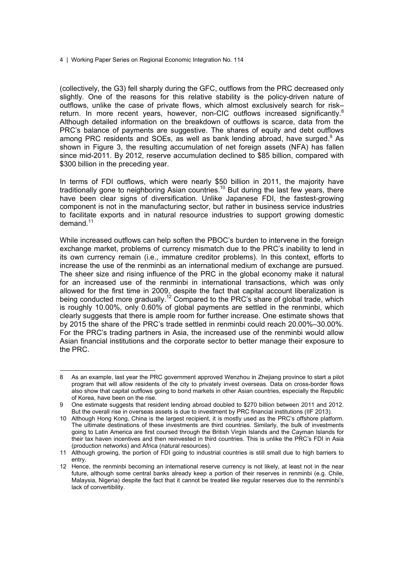(collectively, the G3) fell sharply during the GFC, outflows from the PRC decreased only slightly. One of the reasons for this relative stability is the policy-driven nature of outflows, unlike the case of private flows, which almost exclusively search for risk– return. In more recent years, however, non-CIC outflows increased significantly.<sup>8</sup> Although detailed information on the breakdown of outflows is scarce, data from the PRC's balance of payments are suggestive. The shares of equity and debt outflows among PRC residents and SOEs, as well as bank lending abroad, have surged. $9$  As shown in Figure 3, the resulting accumulation of net foreign assets (NFA) has fallen since mid-2011. By 2012, reserve accumulation declined to \$85 billion, compared with \$300 billion in the preceding year.

In terms of FDI outflows, which were nearly \$50 billion in 2011, the majority have traditionally gone to neighboring Asian countries.<sup>10</sup> But during the last few years, there have been clear signs of diversification. Unlike Japanese FDI, the fastest-growing component is not in the manufacturing sector, but rather in business service industries to facilitate exports and in natural resource industries to support growing domestic demand.<sup>11</sup>

While increased outflows can help soften the PBOC's burden to intervene in the foreign exchange market, problems of currency mismatch due to the PRC's inability to lend in its own currency remain (i.e., immature creditor problems). In this context, efforts to increase the use of the renminbi as an international medium of exchange are pursued. The sheer size and rising influence of the PRC in the global economy make it natural for an increased use of the renminbi in international transactions, which was only allowed for the first time in 2009, despite the fact that capital account liberalization is being conducted more gradually.<sup>12</sup> Compared to the PRC's share of global trade, which is roughly 10.00%, only 0.60% of global payments are settled in the renminbi, which clearly suggests that there is ample room for further increase. One estimate shows that by 2015 the share of the PRC's trade settled in renminbi could reach 20.00%–30.00%. For the PRC's trading partners in Asia, the increased use of the renminbi would allow Asian financial institutions and the corporate sector to better manage their exposure to the PRC.

<sup>8</sup> As an example, last year the PRC government approved Wenzhou in Zhejiang province to start a pilot program that will allow residents of the city to privately invest overseas. Data on cross-border flows also show that capital outflows going to bond markets in other Asian countries, especially the Republic of Korea, have been on the rise.

<sup>9</sup> One estimate suggests that resident lending abroad doubled to \$270 billion between 2011 and 2012. But the overall rise in overseas assets is due to investment by PRC financial institutions (IIF 2013).

<sup>10</sup> Although Hong Kong, China is the largest recipient, it is mostly used as the PRC's offshore platform. The ultimate destinations of these investments are third countries. Similarly, the bulk of investments going to Latin America are first coursed through the British Virgin Islands and the Cayman Islands for their tax haven incentives and then reinvested in third countries. This is unlike the PRC's FDI in Asia (production networks) and Africa (natural resources).

<sup>11</sup> Although growing, the portion of FDI going to industrial countries is still small due to high barriers to entry.

<sup>12</sup> Hence, the renminbi becoming an international reserve currency is not likely, at least not in the near future, although some central banks already keep a portion of their reserves in renminbi (e.g. Chile, Malaysia, Nigeria) despite the fact that it cannot be treated like regular reserves due to the renminbi's lack of convertibility.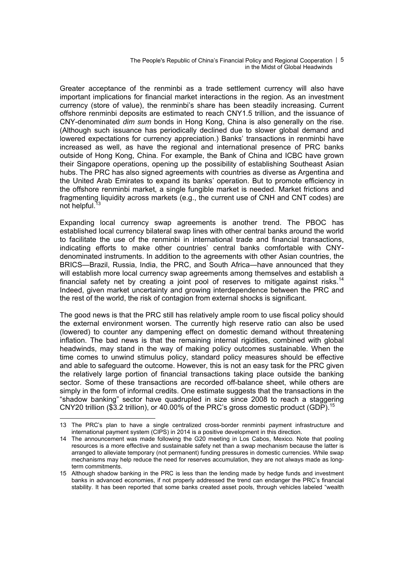The People's Republic of China's Financial Policy and Regional Cooperation | 5 in the Midst of Global Headwinds

Greater acceptance of the renminbi as a trade settlement currency will also have important implications for financial market interactions in the region. As an investment currency (store of value), the renminbi's share has been steadily increasing. Current offshore renminbi deposits are estimated to reach CNY1.5 trillion, and the issuance of CNY-denominated *dim sum* bonds in Hong Kong, China is also generally on the rise. (Although such issuance has periodically declined due to slower global demand and lowered expectations for currency appreciation.) Banks' transactions in renminbi have increased as well, as have the regional and international presence of PRC banks outside of Hong Kong, China. For example, the Bank of China and ICBC have grown their Singapore operations, opening up the possibility of establishing Southeast Asian hubs. The PRC has also signed agreements with countries as diverse as Argentina and the United Arab Emirates to expand its banks' operation. But to promote efficiency in the offshore renminbi market, a single fungible market is needed. Market frictions and fragmenting liquidity across markets (e.g., the current use of CNH and CNT codes) are not helpful. $13$ 

Expanding local currency swap agreements is another trend. The PBOC has established local currency bilateral swap lines with other central banks around the world to facilitate the use of the renminbi in international trade and financial transactions, indicating efforts to make other countries' central banks comfortable with CNYdenominated instruments. In addition to the agreements with other Asian countries, the BRICS—Brazil, Russia, India, the PRC, and South Africa—have announced that they will establish more local currency swap agreements among themselves and establish a financial safety net by creating a joint pool of reserves to mitigate against risks.<sup>14</sup> Indeed, given market uncertainty and growing interdependence between the PRC and the rest of the world, the risk of contagion from external shocks is significant.

The good news is that the PRC still has relatively ample room to use fiscal policy should the external environment worsen. The currently high reserve ratio can also be used (lowered) to counter any dampening effect on domestic demand without threatening inflation. The bad news is that the remaining internal rigidities, combined with global headwinds, may stand in the way of making policy outcomes sustainable. When the time comes to unwind stimulus policy, standard policy measures should be effective and able to safeguard the outcome. However, this is not an easy task for the PRC given the relatively large portion of financial transactions taking place outside the banking sector. Some of these transactions are recorded off-balance sheet, while others are simply in the form of informal credits. One estimate suggests that the transactions in the "shadow banking" sector have quadrupled in size since 2008 to reach a staggering CNY20 trillion (\$3.2 trillion), or 40.00% of the PRC's gross domestic product (GDP).15

<sup>13</sup> The PRC's plan to have a single centralized cross-border renminbi payment infrastructure and international payment system (CIPS) in 2014 is a positive development in this direction.

<sup>14</sup> The announcement was made following the G20 meeting in Los Cabos, Mexico. Note that pooling resources is a more effective and sustainable safety net than a swap mechanism because the latter is arranged to alleviate temporary (not permanent) funding pressures in domestic currencies. While swap mechanisms may help reduce the need for reserves accumulation, they are not always made as longterm commitments.

<sup>15</sup> Although shadow banking in the PRC is less than the lending made by hedge funds and investment banks in advanced economies, if not properly addressed the trend can endanger the PRC's financial stability. It has been reported that some banks created asset pools, through vehicles labeled "wealth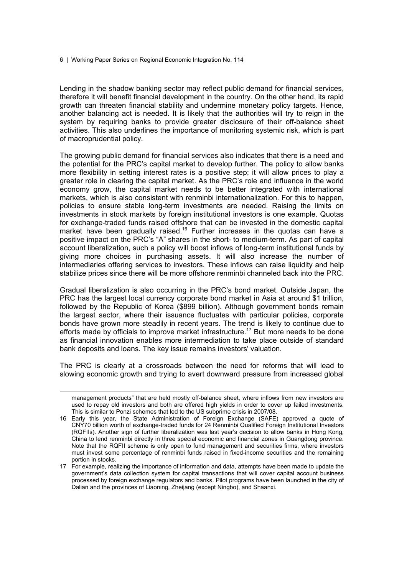Lending in the shadow banking sector may reflect public demand for financial services, therefore it will benefit financial development in the country. On the other hand, its rapid growth can threaten financial stability and undermine monetary policy targets. Hence, another balancing act is needed. It is likely that the authorities will try to reign in the system by requiring banks to provide greater disclosure of their off-balance sheet activities. This also underlines the importance of monitoring systemic risk, which is part of macroprudential policy.

The growing public demand for financial services also indicates that there is a need and the potential for the PRC's capital market to develop further. The policy to allow banks more flexibility in setting interest rates is a positive step; it will allow prices to play a greater role in clearing the capital market. As the PRC's role and influence in the world economy grow, the capital market needs to be better integrated with international markets, which is also consistent with renminbi internationalization. For this to happen, policies to ensure stable long-term investments are needed. Raising the limits on investments in stock markets by foreign institutional investors is one example. Quotas for exchange-traded funds raised offshore that can be invested in the domestic capital market have been gradually raised.<sup>16</sup> Further increases in the quotas can have a positive impact on the PRC's "A" shares in the short- to medium-term. As part of capital account liberalization, such a policy will boost inflows of long-term institutional funds by giving more choices in purchasing assets. It will also increase the number of intermediaries offering services to investors. These inflows can raise liquidity and help stabilize prices since there will be more offshore renminbi channeled back into the PRC.

Gradual liberalization is also occurring in the PRC's bond market. Outside Japan, the PRC has the largest local currency corporate bond market in Asia at around \$1 trillion, followed by the Republic of Korea (\$899 billion). Although government bonds remain the largest sector, where their issuance fluctuates with particular policies, corporate bonds have grown more steadily in recent years. The trend is likely to continue due to efforts made by officials to improve market infrastructure.<sup>17</sup> But more needs to be done as financial innovation enables more intermediation to take place outside of standard bank deposits and loans. The key issue remains investors' valuation.

The PRC is clearly at a crossroads between the need for reforms that will lead to slowing economic growth and trying to avert downward pressure from increased global

management products" that are held mostly off-balance sheet, where inflows from new investors are used to repay old investors and both are offered high yields in order to cover up failed investments. This is similar to Ponzi schemes that led to the US subprime crisis in 2007/08.

<sup>16</sup> Early this year, the State Administration of Foreign Exchange (SAFE) approved a quote of CNY70 billion worth of exchange-traded funds for 24 Renminbi Qualified Foreign Institutional Investors (RQFIIs). Another sign of further liberalization was last year's decision to allow banks in Hong Kong, China to lend renminbi directly in three special economic and financial zones in Guangdong province. Note that the RQFII scheme is only open to fund management and securities firms, where investors must invest some percentage of renminbi funds raised in fixed-income securities and the remaining portion in stocks.

<sup>17</sup> For example, realizing the importance of information and data, attempts have been made to update the government's data collection system for capital transactions that will cover capital account business processed by foreign exchange regulators and banks. Pilot programs have been launched in the city of Dalian and the provinces of Liaoning, Zheijang (except Ningbo), and Shaanxi.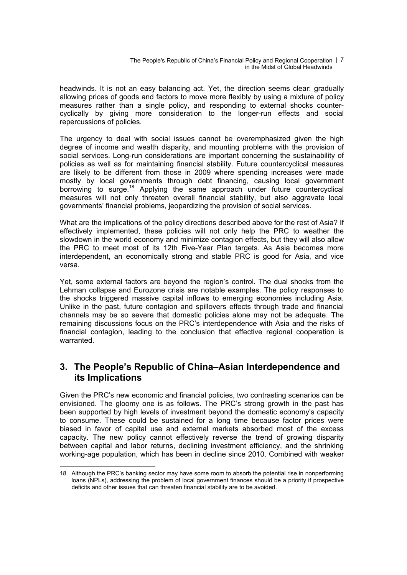The People's Republic of China's Financial Policy and Regional Cooperation | 7 in the Midst of Global Headwinds

headwinds. It is not an easy balancing act. Yet, the direction seems clear: gradually allowing prices of goods and factors to move more flexibly by using a mixture of policy measures rather than a single policy, and responding to external shocks countercyclically by giving more consideration to the longer-run effects and social repercussions of policies.

The urgency to deal with social issues cannot be overemphasized given the high degree of income and wealth disparity, and mounting problems with the provision of social services. Long-run considerations are important concerning the sustainability of policies as well as for maintaining financial stability. Future countercyclical measures are likely to be different from those in 2009 where spending increases were made mostly by local governments through debt financing, causing local government borrowing to surge.<sup>18</sup> Applying the same approach under future countercyclical measures will not only threaten overall financial stability, but also aggravate local governments' financial problems, jeopardizing the provision of social services.

What are the implications of the policy directions described above for the rest of Asia? If effectively implemented, these policies will not only help the PRC to weather the slowdown in the world economy and minimize contagion effects, but they will also allow the PRC to meet most of its 12th Five-Year Plan targets. As Asia becomes more interdependent, an economically strong and stable PRC is good for Asia, and vice versa.

Yet, some external factors are beyond the region's control. The dual shocks from the Lehman collapse and Eurozone crisis are notable examples. The policy responses to the shocks triggered massive capital inflows to emerging economies including Asia. Unlike in the past, future contagion and spillovers effects through trade and financial channels may be so severe that domestic policies alone may not be adequate. The remaining discussions focus on the PRC's interdependence with Asia and the risks of financial contagion, leading to the conclusion that effective regional cooperation is warranted.

## **3. The People's Republic of China–Asian Interdependence and its Implications**

Given the PRC's new economic and financial policies, two contrasting scenarios can be envisioned. The gloomy one is as follows. The PRC's strong growth in the past has been supported by high levels of investment beyond the domestic economy's capacity to consume. These could be sustained for a long time because factor prices were biased in favor of capital use and external markets absorbed most of the excess capacity. The new policy cannot effectively reverse the trend of growing disparity between capital and labor returns, declining investment efficiency, and the shrinking working-age population, which has been in decline since 2010. Combined with weaker

<sup>18</sup> Although the PRC's banking sector may have some room to absorb the potential rise in nonperforming loans (NPLs), addressing the problem of local government finances should be a priority if prospective deficits and other issues that can threaten financial stability are to be avoided.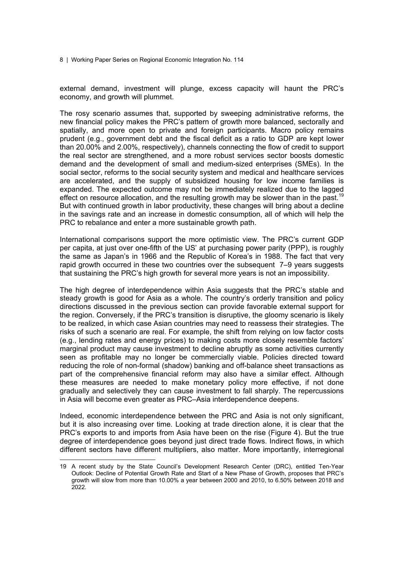external demand, investment will plunge, excess capacity will haunt the PRC's economy, and growth will plummet.

The rosy scenario assumes that, supported by sweeping administrative reforms, the new financial policy makes the PRC's pattern of growth more balanced, sectorally and spatially, and more open to private and foreign participants. Macro policy remains prudent (e.g., government debt and the fiscal deficit as a ratio to GDP are kept lower than 20.00% and 2.00%, respectively), channels connecting the flow of credit to support the real sector are strengthened, and a more robust services sector boosts domestic demand and the development of small and medium-sized enterprises (SMEs). In the social sector, reforms to the social security system and medical and healthcare services are accelerated, and the supply of subsidized housing for low income families is expanded. The expected outcome may not be immediately realized due to the lagged effect on resource allocation, and the resulting growth may be slower than in the past.<sup>19</sup> But with continued growth in labor productivity, these changes will bring about a decline in the savings rate and an increase in domestic consumption, all of which will help the PRC to rebalance and enter a more sustainable growth path.

International comparisons support the more optimistic view. The PRC's current GDP per capita, at just over one-fifth of the US' at purchasing power parity (PPP), is roughly the same as Japan's in 1966 and the Republic of Korea's in 1988. The fact that very rapid growth occurred in these two countries over the subsequent 7–9 years suggests that sustaining the PRC's high growth for several more years is not an impossibility.

The high degree of interdependence within Asia suggests that the PRC's stable and steady growth is good for Asia as a whole. The country's orderly transition and policy directions discussed in the previous section can provide favorable external support for the region. Conversely, if the PRC's transition is disruptive, the gloomy scenario is likely to be realized, in which case Asian countries may need to reassess their strategies. The risks of such a scenario are real. For example, the shift from relying on low factor costs (e.g., lending rates and energy prices) to making costs more closely resemble factors' marginal product may cause investment to decline abruptly as some activities currently seen as profitable may no longer be commercially viable. Policies directed toward reducing the role of non-formal (shadow) banking and off-balance sheet transactions as part of the comprehensive financial reform may also have a similar effect. Although these measures are needed to make monetary policy more effective, if not done gradually and selectively they can cause investment to fall sharply. The repercussions in Asia will become even greater as PRC–Asia interdependence deepens.

Indeed, economic interdependence between the PRC and Asia is not only significant, but it is also increasing over time. Looking at trade direction alone, it is clear that the PRC's exports to and imports from Asia have been on the rise (Figure 4). But the true degree of interdependence goes beyond just direct trade flows. Indirect flows, in which different sectors have different multipliers, also matter. More importantly, interregional

<sup>19</sup> A recent study by the State Council's Development Research Center (DRC), entitled Ten-Year Outlook: Decline of Potential Growth Rate and Start of a New Phase of Growth, proposes that PRC's growth will slow from more than 10.00% a year between 2000 and 2010, to 6.50% between 2018 and 2022.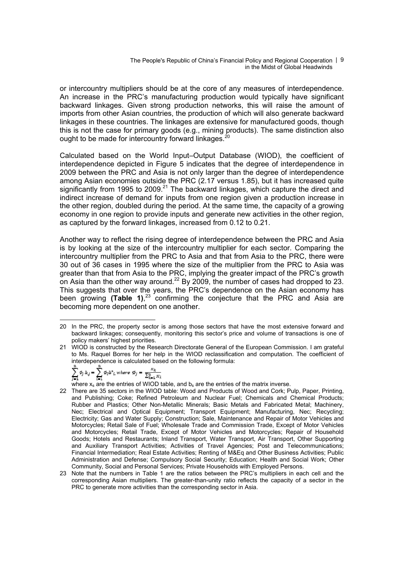The People's Republic of China's Financial Policy and Regional Cooperation | 9 in the Midst of Global Headwinds

or intercountry multipliers should be at the core of any measures of interdependence. An increase in the PRC's manufacturing production would typically have significant backward linkages. Given strong production networks, this will raise the amount of imports from other Asian countries, the production of which will also generate backward linkages in these countries. The linkages are extensive for manufactured goods, though this is not the case for primary goods (e.g., mining products). The same distinction also ought to be made for intercountry forward linkages.<sup>2</sup>

Calculated based on the World Input–Output Database (WIOD), the coefficient of interdependence depicted in Figure 5 indicates that the degree of interdependence in 2009 between the PRC and Asia is not only larger than the degree of interdependence among Asian economies outside the PRC (2.17 versus 1.85), but it has increased quite significantly from 1995 to 2009.<sup>21</sup> The backward linkages, which capture the direct and indirect increase of demand for inputs from one region given a production increase in the other region, doubled during the period. At the same time, the capacity of a growing economy in one region to provide inputs and generate new activities in the other region, as captured by the forward linkages, increased from 0.12 to 0.21.

Another way to reflect the rising degree of interdependence between the PRC and Asia is by looking at the size of the intercountry multiplier for each sector. Comparing the intercountry multiplier from the PRC to Asia and that from Asia to the PRC, there were 30 out of 36 cases in 1995 where the size of the multiplier from the PRC to Asia was greater than that from Asia to the PRC, implying the greater impact of the PRC's growth on Asia than the other way around.<sup>22</sup> By 2009, the number of cases had dropped to 23. This suggests that over the years, the PRC's dependence on the Asian economy has been growing **(Table 1)**, 23 confirming the conjecture that the PRC and Asia are becoming more dependent on one another.

$$
\sum_{i=1}^{n} \phi_i b_{i} = \sum_{i=1}^{n} \phi_i b^*_{i}
$$
 where  $\phi_j = \frac{\kappa_k}{\sum_{k=1}^{n} x_k}$ 

where  $x_s$  are the entries of WIOD table, and  $b_s$  are the entries of the matrix inverse.

- 22 There are 35 sectors in the WIOD table: Wood and Products of Wood and Cork; Pulp, Paper, Printing, and Publishing; Coke; Refined Petroleum and Nuclear Fuel; Chemicals and Chemical Products; Rubber and Plastics; Other Non-Metallic Minerals; Basic Metals and Fabricated Metal; Machinery, Nec; Electrical and Optical Equipment; Transport Equipment; Manufacturing, Nec; Recycling; Electricity; Gas and Water Supply; Construction; Sale, Maintenance and Repair of Motor Vehicles and Motorcycles; Retail Sale of Fuel; Wholesale Trade and Commission Trade, Except of Motor Vehicles and Motorcycles; Retail Trade, Except of Motor Vehicles and Motorcycles; Repair of Household Goods; Hotels and Restaurants; Inland Transport, Water Transport, Air Transport, Other Supporting and Auxiliary Transport Activities; Activities of Travel Agencies; Post and Telecommunications; Financial Intermediation; Real Estate Activities; Renting of M&Eq and Other Business Activities; Public Administration and Defense; Compulsory Social Security; Education; Health and Social Work; Other Community, Social and Personal Services; Private Households with Employed Persons.
- 23 Note that the numbers in Table 1 are the ratios between the PRC's multipliers in each cell and the corresponding Asian multipliers. The greater-than-unity ratio reflects the capacity of a sector in the PRC to generate more activities than the corresponding sector in Asia.

 $\overline{a}$ 20 In the PRC, the property sector is among those sectors that have the most extensive forward and backward linkages; consequently, monitoring this sector's price and volume of transactions is one of policy makers' highest priorities.

<sup>21</sup> WIOD is constructed by the Research Directorate General of the European Commission. I am grateful to Ms. Raquel Borres for her help in the WIOD reclassification and computation. The coefficient of interdependence is calculated based on the following formula: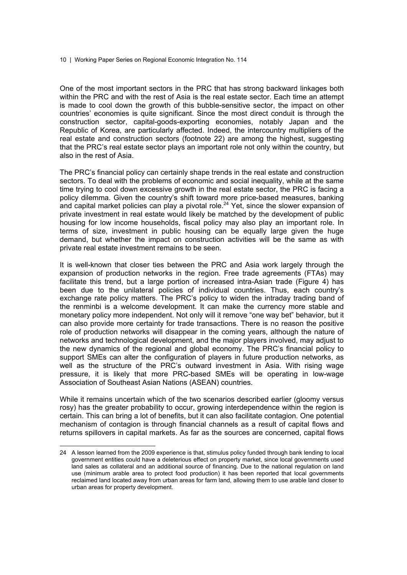One of the most important sectors in the PRC that has strong backward linkages both within the PRC and with the rest of Asia is the real estate sector. Each time an attempt is made to cool down the growth of this bubble-sensitive sector, the impact on other countries' economies is quite significant. Since the most direct conduit is through the construction sector, capital-goods-exporting economies, notably Japan and the Republic of Korea, are particularly affected. Indeed, the intercountry multipliers of the real estate and construction sectors (footnote 22) are among the highest, suggesting that the PRC's real estate sector plays an important role not only within the country, but also in the rest of Asia.

The PRC's financial policy can certainly shape trends in the real estate and construction sectors. To deal with the problems of economic and social inequality, while at the same time trying to cool down excessive growth in the real estate sector, the PRC is facing a policy dilemma. Given the country's shift toward more price-based measures, banking and capital market policies can play a pivotal role.<sup>24</sup> Yet, since the slower expansion of private investment in real estate would likely be matched by the development of public housing for low income households, fiscal policy may also play an important role. In terms of size, investment in public housing can be equally large given the huge demand, but whether the impact on construction activities will be the same as with private real estate investment remains to be seen.

It is well-known that closer ties between the PRC and Asia work largely through the expansion of production networks in the region. Free trade agreements (FTAs) may facilitate this trend, but a large portion of increased intra-Asian trade (Figure 4) has been due to the unilateral policies of individual countries. Thus, each country's exchange rate policy matters. The PRC's policy to widen the intraday trading band of the renminbi is a welcome development. It can make the currency more stable and monetary policy more independent. Not only will it remove "one way bet" behavior, but it can also provide more certainty for trade transactions. There is no reason the positive role of production networks will disappear in the coming years, although the nature of networks and technological development, and the major players involved, may adjust to the new dynamics of the regional and global economy. The PRC's financial policy to support SMEs can alter the configuration of players in future production networks, as well as the structure of the PRC's outward investment in Asia. With rising wage pressure, it is likely that more PRC-based SMEs will be operating in low-wage Association of Southeast Asian Nations (ASEAN) countries.

While it remains uncertain which of the two scenarios described earlier (gloomy versus rosy) has the greater probability to occur, growing interdependence within the region is certain. This can bring a lot of benefits, but it can also facilitate contagion. One potential mechanism of contagion is through financial channels as a result of capital flows and returns spillovers in capital markets. As far as the sources are concerned, capital flows

<sup>24</sup> A lesson learned from the 2009 experience is that, stimulus policy funded through bank lending to local government entities could have a deleterious effect on property market, since local governments used land sales as collateral and an additional source of financing. Due to the national regulation on land use (minimum arable area to protect food production) it has been reported that local governments reclaimed land located away from urban areas for farm land, allowing them to use arable land closer to urban areas for property development.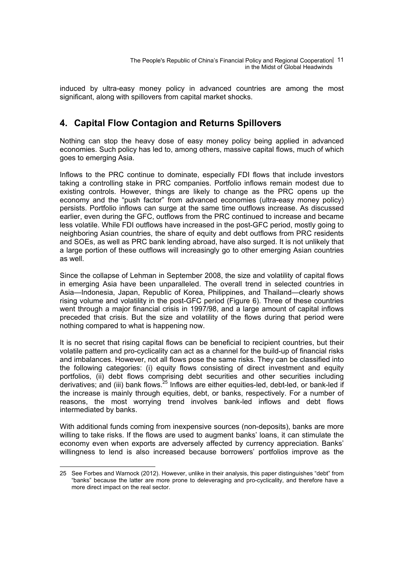induced by ultra-easy money policy in advanced countries are among the most significant, along with spillovers from capital market shocks.

# **4. Capital Flow Contagion and Returns Spillovers**

Nothing can stop the heavy dose of easy money policy being applied in advanced economies. Such policy has led to, among others, massive capital flows, much of which goes to emerging Asia.

Inflows to the PRC continue to dominate, especially FDI flows that include investors taking a controlling stake in PRC companies. Portfolio inflows remain modest due to existing controls. However, things are likely to change as the PRC opens up the economy and the "push factor" from advanced economies (ultra-easy money policy) persists. Portfolio inflows can surge at the same time outflows increase. As discussed earlier, even during the GFC, outflows from the PRC continued to increase and became less volatile. While FDI outflows have increased in the post-GFC period, mostly going to neighboring Asian countries, the share of equity and debt outflows from PRC residents and SOEs, as well as PRC bank lending abroad, have also surged. It is not unlikely that a large portion of these outflows will increasingly go to other emerging Asian countries as well.

Since the collapse of Lehman in September 2008, the size and volatility of capital flows in emerging Asia have been unparalleled. The overall trend in selected countries in Asia—Indonesia, Japan, Republic of Korea, Philippines, and Thailand—clearly shows rising volume and volatility in the post-GFC period (Figure 6). Three of these countries went through a major financial crisis in 1997/98, and a large amount of capital inflows preceded that crisis. But the size and volatility of the flows during that period were nothing compared to what is happening now.

It is no secret that rising capital flows can be beneficial to recipient countries, but their volatile pattern and pro-cyclicality can act as a channel for the build-up of financial risks and imbalances. However, not all flows pose the same risks. They can be classified into the following categories: (i) equity flows consisting of direct investment and equity portfolios, (ii) debt flows comprising debt securities and other securities including derivatives; and (iii) bank flows.<sup>25</sup> Inflows are either equities-led, debt-led, or bank-led if the increase is mainly through equities, debt, or banks, respectively. For a number of reasons, the most worrying trend involves bank-led inflows and debt flows intermediated by banks.

With additional funds coming from inexpensive sources (non-deposits), banks are more willing to take risks. If the flows are used to augment banks' loans, it can stimulate the economy even when exports are adversely affected by currency appreciation. Banks' willingness to lend is also increased because borrowers' portfolios improve as the

 $\overline{a}$ 25 See Forbes and Warnock (2012). However, unlike in their analysis, this paper distinguishes "debt" from "banks" because the latter are more prone to deleveraging and pro-cyclicality, and therefore have a more direct impact on the real sector.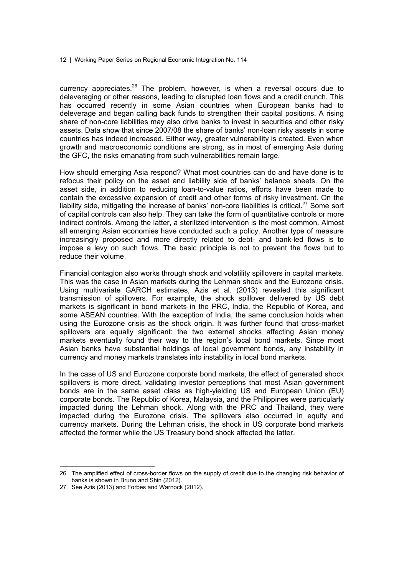currency appreciates. $26$  The problem, however, is when a reversal occurs due to deleveraging or other reasons, leading to disrupted loan flows and a credit crunch. This has occurred recently in some Asian countries when European banks had to deleverage and began calling back funds to strengthen their capital positions. A rising share of non-core liabilities may also drive banks to invest in securities and other risky assets. Data show that since 2007/08 the share of banks' non-loan risky assets in some countries has indeed increased. Either way, greater vulnerability is created. Even when growth and macroeconomic conditions are strong, as in most of emerging Asia during the GFC, the risks emanating from such vulnerabilities remain large.

How should emerging Asia respond? What most countries can do and have done is to refocus their policy on the asset and liability side of banks' balance sheets. On the asset side, in addition to reducing loan-to-value ratios, efforts have been made to contain the excessive expansion of credit and other forms of risky investment. On the liability side, mitigating the increase of banks' non-core liabilities is critical.<sup>27</sup> Some sort of capital controls can also help. They can take the form of quantitative controls or more indirect controls. Among the latter, a sterilized intervention is the most common. Almost all emerging Asian economies have conducted such a policy. Another type of measure increasingly proposed and more directly related to debt- and bank-led flows is to impose a levy on such flows. The basic principle is not to prevent the flows but to reduce their volume.

Financial contagion also works through shock and volatility spillovers in capital markets. This was the case in Asian markets during the Lehman shock and the Eurozone crisis. Using multivariate GARCH estimates, Azis et al. (2013) revealed this significant transmission of spillovers. For example, the shock spillover delivered by US debt markets is significant in bond markets in the PRC, India, the Republic of Korea, and some ASEAN countries. With the exception of India, the same conclusion holds when using the Eurozone crisis as the shock origin. It was further found that cross-market spillovers are equally significant: the two external shocks affecting Asian money markets eventually found their way to the region's local bond markets. Since most Asian banks have substantial holdings of local government bonds, any instability in currency and money markets translates into instability in local bond markets.

In the case of US and Eurozone corporate bond markets, the effect of generated shock spillovers is more direct, validating investor perceptions that most Asian government bonds are in the same asset class as high-yielding US and European Union (EU) corporate bonds. The Republic of Korea, Malaysia, and the Philippines were particularly impacted during the Lehman shock. Along with the PRC and Thailand, they were impacted during the Eurozone crisis. The spillovers also occurred in equity and currency markets. During the Lehman crisis, the shock in US corporate bond markets affected the former while the US Treasury bond shock affected the latter.

<sup>26</sup> The amplified effect of cross-border flows on the supply of credit due to the changing risk behavior of banks is shown in Bruno and Shin (2012).

<sup>27</sup> See Azis (2013) and Forbes and Warnock (2012).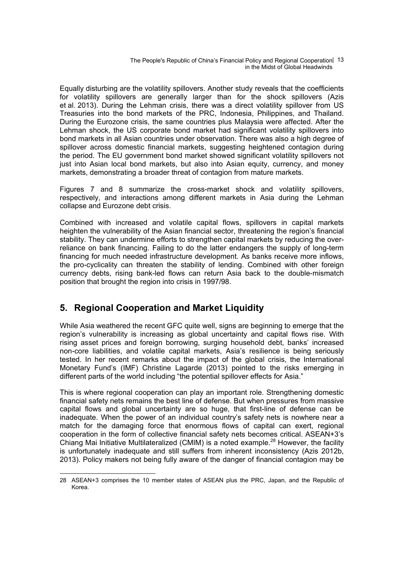The People's Republic of China's Financial Policy and Regional Cooperation | 13 in the Midst of Global Headwinds

Equally disturbing are the volatility spillovers. Another study reveals that the coefficients for volatility spillovers are generally larger than for the shock spillovers (Azis et al. 2013). During the Lehman crisis, there was a direct volatility spillover from US Treasuries into the bond markets of the PRC, Indonesia, Philippines, and Thailand. During the Eurozone crisis, the same countries plus Malaysia were affected. After the Lehman shock, the US corporate bond market had significant volatility spillovers into bond markets in all Asian countries under observation. There was also a high degree of spillover across domestic financial markets, suggesting heightened contagion during the period. The EU government bond market showed significant volatility spillovers not just into Asian local bond markets, but also into Asian equity, currency, and money markets, demonstrating a broader threat of contagion from mature markets.

Figures 7 and 8 summarize the cross-market shock and volatility spillovers, respectively, and interactions among different markets in Asia during the Lehman collapse and Eurozone debt crisis.

Combined with increased and volatile capital flows, spillovers in capital markets heighten the vulnerability of the Asian financial sector, threatening the region's financial stability. They can undermine efforts to strengthen capital markets by reducing the overreliance on bank financing. Failing to do the latter endangers the supply of long-term financing for much needed infrastructure development. As banks receive more inflows, the pro-cyclicality can threaten the stability of lending. Combined with other foreign currency debts, rising bank-led flows can return Asia back to the double-mismatch position that brought the region into crisis in 1997/98.

# **5. Regional Cooperation and Market Liquidity**

While Asia weathered the recent GFC quite well, signs are beginning to emerge that the region's vulnerability is increasing as global uncertainty and capital flows rise. With rising asset prices and foreign borrowing, surging household debt, banks' increased non-core liabilities, and volatile capital markets, Asia's resilience is being seriously tested. In her recent remarks about the impact of the global crisis, the International Monetary Fund's (IMF) Christine Lagarde (2013) pointed to the risks emerging in different parts of the world including "the potential spillover effects for Asia."

This is where regional cooperation can play an important role. Strengthening domestic financial safety nets remains the best line of defense. But when pressures from massive capital flows and global uncertainty are so huge, that first-line of defense can be inadequate. When the power of an individual country's safety nets is nowhere near a match for the damaging force that enormous flows of capital can exert, regional cooperation in the form of collective financial safety nets becomes critical. ASEAN+3's Chiang Mai Initiative Multilateralized (CMIM) is a noted example.<sup>28</sup> However, the facility is unfortunately inadequate and still suffers from inherent inconsistency (Azis 2012b, 2013). Policy makers not being fully aware of the danger of financial contagion may be

 $\overline{a}$ 28 ASEAN+3 comprises the 10 member states of ASEAN plus the PRC, Japan, and the Republic of Korea.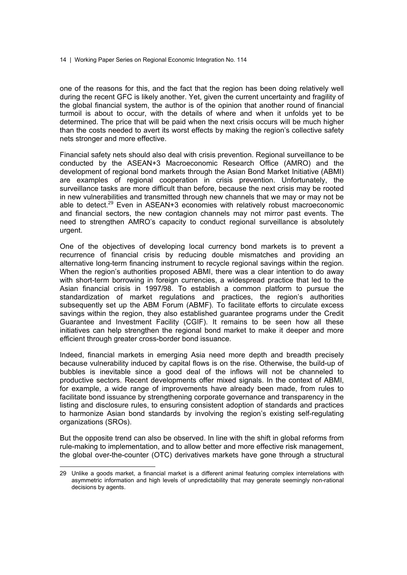one of the reasons for this, and the fact that the region has been doing relatively well during the recent GFC is likely another. Yet, given the current uncertainty and fragility of the global financial system, the author is of the opinion that another round of financial turmoil is about to occur, with the details of where and when it unfolds yet to be determined. The price that will be paid when the next crisis occurs will be much higher than the costs needed to avert its worst effects by making the region's collective safety nets stronger and more effective.

Financial safety nets should also deal with crisis prevention. Regional surveillance to be conducted by the ASEAN+3 Macroeconomic Research Office (AMRO) and the development of regional bond markets through the Asian Bond Market Initiative (ABMI) are examples of regional cooperation in crisis prevention. Unfortunately, the surveillance tasks are more difficult than before, because the next crisis may be rooted in new vulnerabilities and transmitted through new channels that we may or may not be able to detect.<sup>29</sup> Even in ASEAN+3 economies with relatively robust macroeconomic and financial sectors, the new contagion channels may not mirror past events. The need to strengthen AMRO's capacity to conduct regional surveillance is absolutely urgent.

One of the objectives of developing local currency bond markets is to prevent a recurrence of financial crisis by reducing double mismatches and providing an alternative long-term financing instrument to recycle regional savings within the region. When the region's authorities proposed ABMI, there was a clear intention to do away with short-term borrowing in foreign currencies, a widespread practice that led to the Asian financial crisis in 1997/98. To establish a common platform to pursue the standardization of market regulations and practices, the region's authorities subsequently set up the ABM Forum (ABMF). To facilitate efforts to circulate excess savings within the region, they also established guarantee programs under the Credit Guarantee and Investment Facility (CGIF). It remains to be seen how all these initiatives can help strengthen the regional bond market to make it deeper and more efficient through greater cross-border bond issuance.

Indeed, financial markets in emerging Asia need more depth and breadth precisely because vulnerability induced by capital flows is on the rise. Otherwise, the build-up of bubbles is inevitable since a good deal of the inflows will not be channeled to productive sectors. Recent developments offer mixed signals. In the context of ABMI, for example, a wide range of improvements have already been made, from rules to facilitate bond issuance by strengthening corporate governance and transparency in the listing and disclosure rules, to ensuring consistent adoption of standards and practices to harmonize Asian bond standards by involving the region's existing self-regulating organizations (SROs).

But the opposite trend can also be observed. In line with the shift in global reforms from rule-making to implementation, and to allow better and more effective risk management, the global over-the-counter (OTC) derivatives markets have gone through a structural

<sup>29</sup> Unlike a goods market, a financial market is a different animal featuring complex interrelations with asymmetric information and high levels of unpredictability that may generate seemingly non-rational decisions by agents.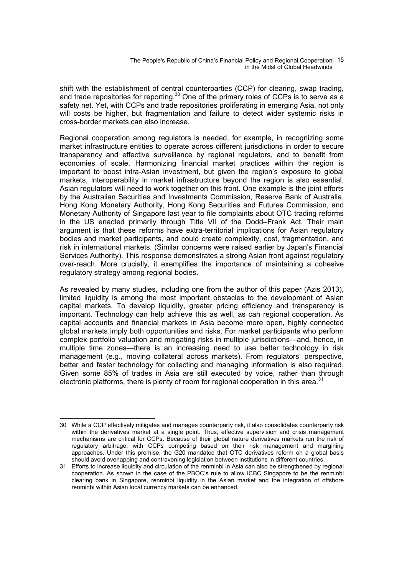The People's Republic of China's Financial Policy and Regional Cooperation | 15 in the Midst of Global Headwinds

shift with the establishment of central counterparties (CCP) for clearing, swap trading, and trade repositories for reporting.<sup>30</sup> One of the primary roles of CCPs is to serve as a safety net. Yet, with CCPs and trade repositories proliferating in emerging Asia, not only will costs be higher, but fragmentation and failure to detect wider systemic risks in cross-border markets can also increase.

Regional cooperation among regulators is needed, for example, in recognizing some market infrastructure entities to operate across different jurisdictions in order to secure transparency and effective surveillance by regional regulators, and to benefit from economies of scale. Harmonizing financial market practices within the region is important to boost intra-Asian investment, but given the region's exposure to global markets, interoperability in market infrastructure beyond the region is also essential. Asian regulators will need to work together on this front. One example is the joint efforts by the Australian Securities and Investments Commission, Reserve Bank of Australia, Hong Kong Monetary Authority, Hong Kong Securities and Futures Commission, and Monetary Authority of Singapore last year to file complaints about OTC trading reforms in the US enacted primarily through Title VII of the Dodd–Frank Act. Their main argument is that these reforms have extra-territorial implications for Asian regulatory bodies and market participants, and could create complexity, cost, fragmentation, and risk in international markets. (Similar concerns were raised earlier by Japan's Financial Services Authority). This response demonstrates a strong Asian front against regulatory over-reach. More crucially, it exemplifies the importance of maintaining a cohesive regulatory strategy among regional bodies.

As revealed by many studies, including one from the author of this paper (Azis 2013), limited liquidity is among the most important obstacles to the development of Asian capital markets. To develop liquidity, greater pricing efficiency and transparency is important. Technology can help achieve this as well, as can regional cooperation. As capital accounts and financial markets in Asia become more open, highly connected global markets imply both opportunities and risks. For market participants who perform complex portfolio valuation and mitigating risks in multiple jurisdictions—and, hence, in multiple time zones—there is an increasing need to use better technology in risk management (e.g., moving collateral across markets). From regulators' perspective, better and faster technology for collecting and managing information is also required. Given some 85% of trades in Asia are still executed by voice, rather than through electronic platforms, there is plenty of room for regional cooperation in this area.<sup>31</sup>

<sup>30</sup> While a CCP effectively mitigates and manages counterparty risk, it also consolidates counterparty risk within the derivatives market at a single point. Thus, effective supervision and crisis management mechanisms are critical for CCPs. Because of their global nature derivatives markets run the risk of regulatory arbitrage, with CCPs competing based on their risk management and margining approaches. Under this premise, the G20 mandated that OTC derivatives reform on a global basis should avoid overlapping and contravening legislation between institutions in different countries.

<sup>31</sup> Efforts to increase liquidity and circulation of the renminbi in Asia can also be strengthened by regional cooperation. As shown in the case of the PBOC's rule to allow ICBC Singapore to be the renminbi clearing bank in Singapore, renminbi liquidity in the Asian market and the integration of offshore renminbi within Asian local currency markets can be enhanced.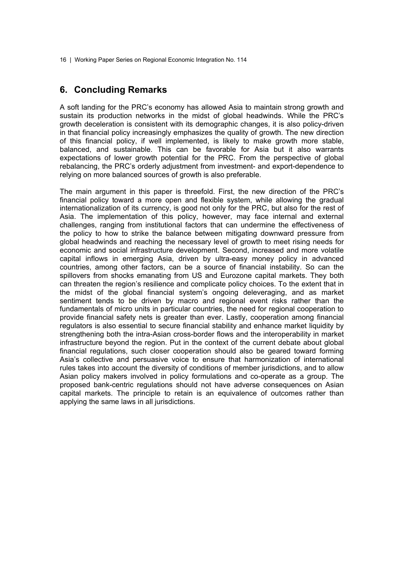## **6. Concluding Remarks**

A soft landing for the PRC's economy has allowed Asia to maintain strong growth and sustain its production networks in the midst of global headwinds. While the PRC's growth deceleration is consistent with its demographic changes, it is also policy-driven in that financial policy increasingly emphasizes the quality of growth. The new direction of this financial policy, if well implemented, is likely to make growth more stable, balanced, and sustainable. This can be favorable for Asia but it also warrants expectations of lower growth potential for the PRC. From the perspective of global rebalancing, the PRC's orderly adjustment from investment- and export-dependence to relying on more balanced sources of growth is also preferable.

The main argument in this paper is threefold. First, the new direction of the PRC's financial policy toward a more open and flexible system, while allowing the gradual internationalization of its currency, is good not only for the PRC, but also for the rest of Asia. The implementation of this policy, however, may face internal and external challenges, ranging from institutional factors that can undermine the effectiveness of the policy to how to strike the balance between mitigating downward pressure from global headwinds and reaching the necessary level of growth to meet rising needs for economic and social infrastructure development. Second, increased and more volatile capital inflows in emerging Asia, driven by ultra-easy money policy in advanced countries, among other factors, can be a source of financial instability. So can the spillovers from shocks emanating from US and Eurozone capital markets. They both can threaten the region's resilience and complicate policy choices. To the extent that in the midst of the global financial system's ongoing deleveraging, and as market sentiment tends to be driven by macro and regional event risks rather than the fundamentals of micro units in particular countries, the need for regional cooperation to provide financial safety nets is greater than ever. Lastly, cooperation among financial regulators is also essential to secure financial stability and enhance market liquidity by strengthening both the intra-Asian cross-border flows and the interoperability in market infrastructure beyond the region. Put in the context of the current debate about global financial regulations, such closer cooperation should also be geared toward forming Asia's collective and persuasive voice to ensure that harmonization of international rules takes into account the diversity of conditions of member jurisdictions, and to allow Asian policy makers involved in policy formulations and co-operate as a group. The proposed bank-centric regulations should not have adverse consequences on Asian capital markets. The principle to retain is an equivalence of outcomes rather than applying the same laws in all jurisdictions.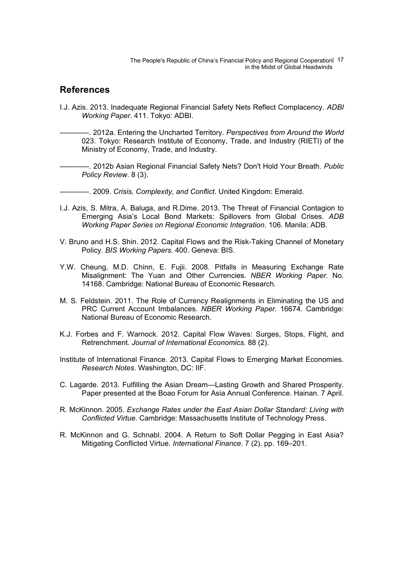The People's Republic of China's Financial Policy and Regional Cooperation | 17 in the Midst of Global Headwinds

#### **References**

I.J. Azis. 2013. Inadequate Regional Financial Safety Nets Reflect Complacency. *ADBI Working Paper*. 411. Tokyo: ADBI.

————. 2012a. Entering the Uncharted Territory. *Perspectives from Around the World* 023. Tokyo: Research Institute of Economy, Trade, and Industry (RIETI) of the Ministry of Economy, Trade, and Industry.

————. 2012b Asian Regional Financial Safety Nets? Don't Hold Your Breath. *Public Policy Review*. 8 (3).

————. 2009. *Crisis, Complexity, and Conflict*. United Kingdom: Emerald.

- I.J. Azis, S. Mitra, A. Baluga, and R.Dime. 2013. The Threat of Financial Contagion to Emerging Asia's Local Bond Markets: Spillovers from Global Crises. *ADB Working Paper Series on Regional Economic Integration*. 106. Manila: ADB.
- V. Bruno and H.S. Shin. 2012. Capital Flows and the Risk-Taking Channel of Monetary Policy. *BIS Working Papers.* 400. Geneva: BIS.
- Y.W. Cheung, M.D. Chinn, E. Fujii. 2008. Pitfalls in Measuring Exchange Rate Misalignment: The Yuan and Other Currencies. *NBER Working Paper.* No. 14168. Cambridge: National Bureau of Economic Research.
- M. S. Feldstein. 2011. The Role of Currency Realignments in Eliminating the US and PRC Current Account Imbalances. *NBER Working Paper.* 16674. Cambridge: National Bureau of Economic Research.
- K.J. Forbes and F. Warnock. 2012. Capital Flow Waves: Surges, Stops, Flight, and Retrenchment. *Journal of International Economics.* 88 (2).
- Institute of International Finance. 2013. Capital Flows to Emerging Market Economies. *Research Notes*. Washington, DC: IIF.
- C. Lagarde. 2013. Fulfilling the Asian Dream—Lasting Growth and Shared Prosperity. Paper presented at the Boao Forum for Asia Annual Conference. Hainan. 7 April.
- R. McKinnon. 2005. *Exchange Rates under the East Asian Dollar Standard: Living with Conflicted Virtue*. Cambridge: Massachusetts Institute of Technology Press.
- R. McKinnon and G. Schnabl. 2004. A Return to Soft Dollar Pegging in East Asia? Mitigating Conflicted Virtue. *International Finance*. 7 (2). pp. 169–201.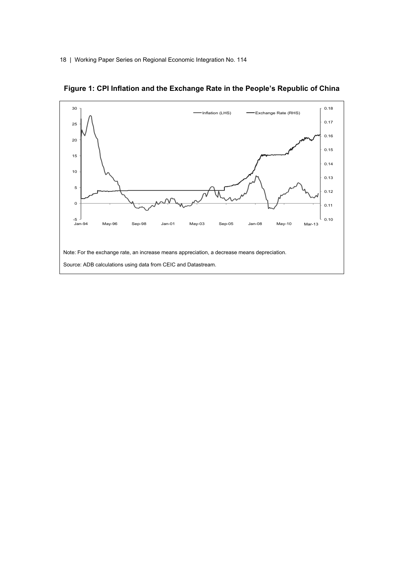

**Figure 1: CPI Inflation and the Exchange Rate in the People's Republic of China**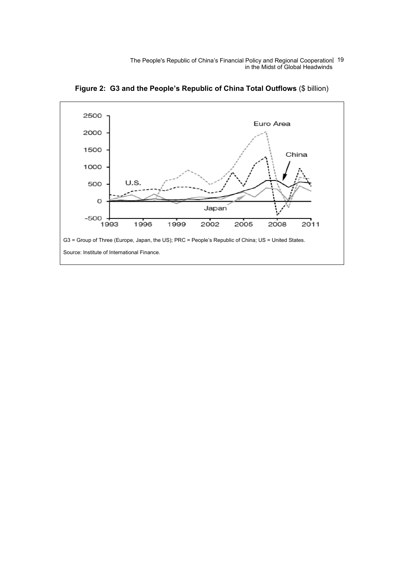The People's Republic of China's Financial Policy and Regional Cooperation | 19 in the Midst of Global Headwinds



**Figure 2: G3 and the People's Republic of China Total Outflows** (\$ billion)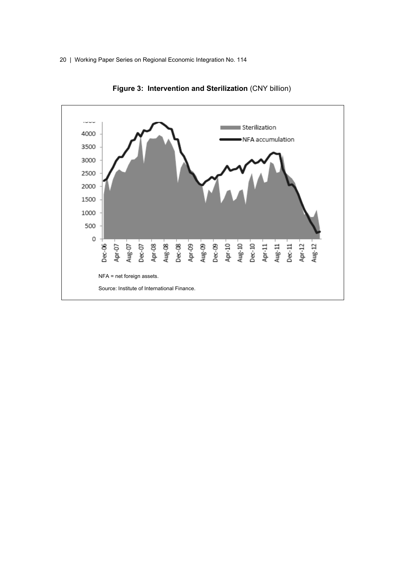

**Figure 3: Intervention and Sterilization** (CNY billion)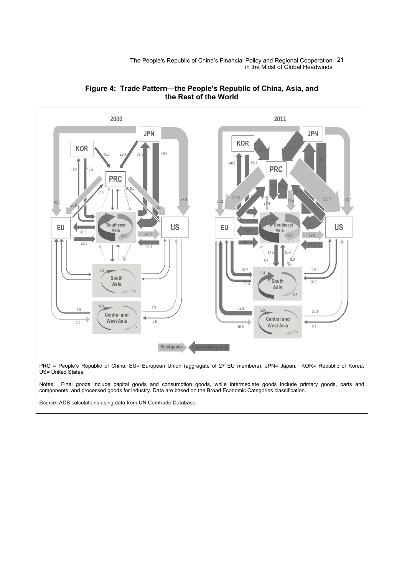The People's Republic of China's Financial Policy and Regional Cooperation | 21 in the Midst of Global Headwinds





US= United States.

Notes: Final goods include capital goods and consumption goods, while intermediate goods include primary goods, parts and components, and processed goods for industry. Data are based on the Broad Economic Categories classification.

Source: ADB calculations using data from UN Comtrade Database.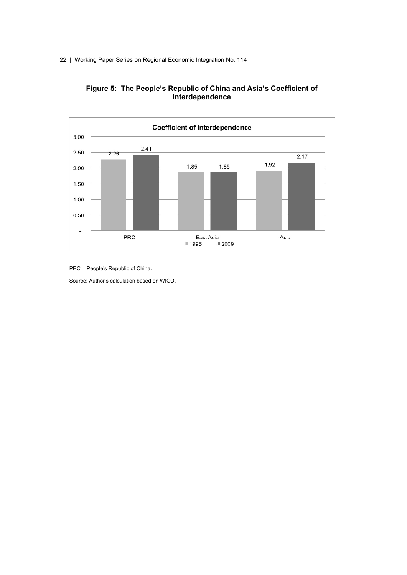



PRC = People's Republic of China.

Source: Author's calculation based on WIOD.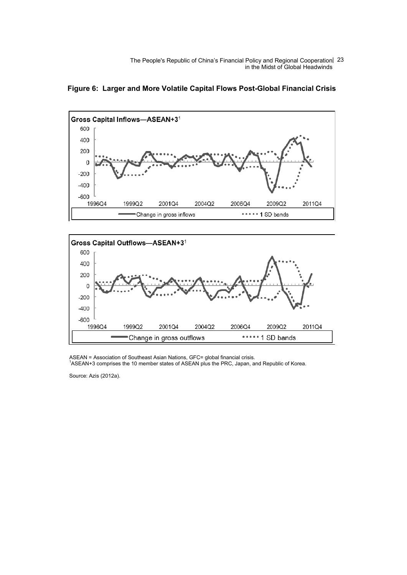The People's Republic of China's Financial Policy and Regional Cooperation 23 in the Midst of Global Headwinds



**Figure 6: Larger and More Volatile Capital Flows Post-Global Financial Crisis**



ASEAN = Association of Southeast Asian Nations, GFC= global financial crisis.<br><sup>1</sup>ASEAN+3 comprises the 10 member states of ASEAN plus the PRC, Japan, and Republic of Korea.

Source: Azis (2012a).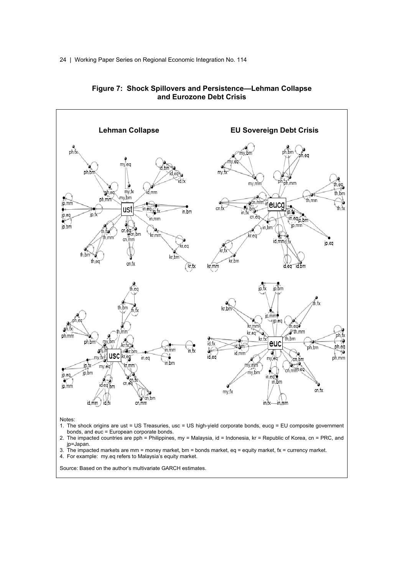

#### **Figure 7: Shock Spillovers and Persistence—Lehman Collapse and Eurozone Debt Crisis**

- jp=Japan.
- 3. The impacted markets are mm = money market, bm = bonds market, eq = equity market, fx = currency market.
- 4. For example: my.eq refers to Malaysia's equity market.

Source: Based on the author's multivariate GARCH estimates.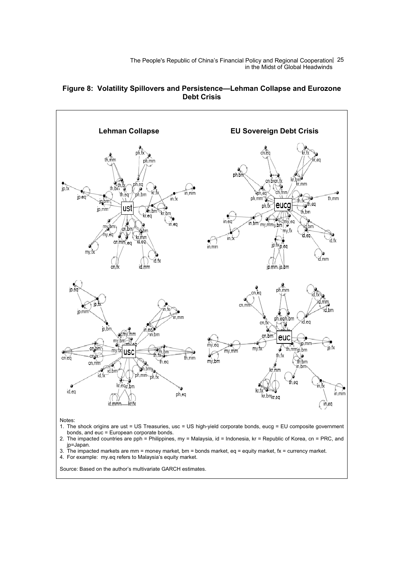The People's Republic of China's Financial Policy and Regional Cooperation 25 in the Midst of Global Headwinds

#### **Figure 8: Volatility Spillovers and Persistence—Lehman Collapse and Eurozone Debt Crisis**



2. The impacted countries are pph = Philippines, my = Malaysia, id = Indonesia, kr = Republic of Korea, cn = PRC, and jp=Japan.

3. The impacted markets are mm = money market, bm = bonds market,  $eq =$  equity market,  $fx =$  currency market.

4. For example: my.eq refers to Malaysia's equity market.

Source: Based on the author's multivariate GARCH estimates.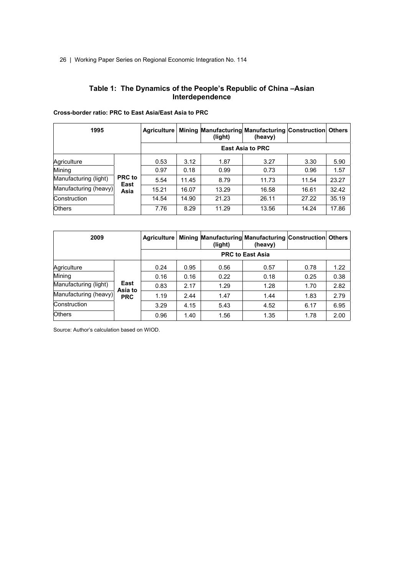#### **Table 1: The Dynamics of the People's Republic of China –Asian Interdependence**

| 1995                  | Agriculture           |                         | (light) | Mining Manufacturing Manufacturing Construction Others<br>(heavy) |       |       |       |  |  |
|-----------------------|-----------------------|-------------------------|---------|-------------------------------------------------------------------|-------|-------|-------|--|--|
|                       |                       | <b>East Asia to PRC</b> |         |                                                                   |       |       |       |  |  |
| Agriculture           |                       | 0.53                    | 3.12    | 1.87                                                              | 3.27  | 3.30  | 5.90  |  |  |
| Mining                |                       | 0.97                    | 0.18    | 0.99                                                              | 0.73  | 0.96  | 1.57  |  |  |
| Manufacturing (light) | <b>PRC</b> to<br>East | 5.54                    | 11.45   | 8.79                                                              | 11.73 | 11.54 | 23.27 |  |  |
| Manufacturing (heavy) | Asia                  | 15.21                   | 16.07   | 13.29                                                             | 16.58 | 16.61 | 32.42 |  |  |
| Construction          |                       | 14.54                   | 14.90   | 21.23                                                             | 26.11 | 27.22 | 35.19 |  |  |
| <b>Others</b>         |                       | 7.76                    | 8.29    | 11.29                                                             | 13.56 | 14.24 | 17.86 |  |  |

#### **Cross-border ratio: PRC to East Asia/East Asia to PRC**

| 2009                  | <b>Agriculture</b>            |      | (light) | Mining Manufacturing Manufacturing Construction Others<br>(heavy) |      |      |      |  |
|-----------------------|-------------------------------|------|---------|-------------------------------------------------------------------|------|------|------|--|
|                       | <b>PRC to East Asia</b>       |      |         |                                                                   |      |      |      |  |
| Agriculture           | East<br>Asia to<br><b>PRC</b> | 0.24 | 0.95    | 0.56                                                              | 0.57 | 0.78 | 1.22 |  |
| Mining                |                               | 0.16 | 0.16    | 0.22                                                              | 0.18 | 0.25 | 0.38 |  |
| Manufacturing (light) |                               | 0.83 | 2.17    | 1.29                                                              | 1.28 | 1.70 | 2.82 |  |
| Manufacturing (heavy) |                               | 1.19 | 2.44    | 1.47                                                              | 1.44 | 1.83 | 2.79 |  |
| Construction          |                               | 3.29 | 4.15    | 5.43                                                              | 4.52 | 6.17 | 6.95 |  |
| <b>Others</b>         |                               | 0.96 | 1.40    | 1.56                                                              | 1.35 | 1.78 | 2.00 |  |

Source: Author's calculation based on WIOD.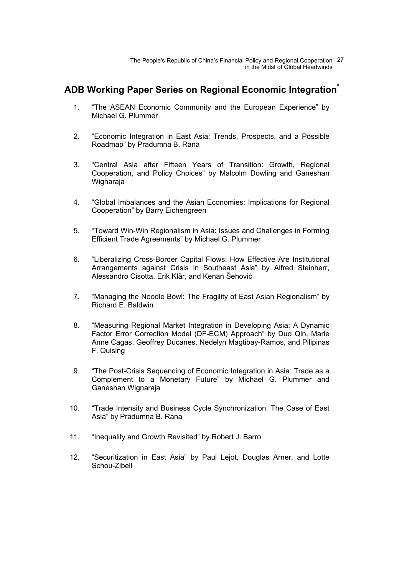The People's Republic of China's Financial Policy and Regional Cooperation 27 in the Midst of Global Headwinds

### **ADB Working Paper Series on Regional Economic Integration\***

- 1. "The ASEAN Economic Community and the European Experience" by Michael G. Plummer
- 2. "Economic Integration in East Asia: Trends, Prospects, and a Possible Roadmap" by Pradumna B. Rana
- 3. "Central Asia after Fifteen Years of Transition: Growth, Regional Cooperation, and Policy Choices" by Malcolm Dowling and Ganeshan Wignaraja
- 4. "Global Imbalances and the Asian Economies: Implications for Regional Cooperation" by Barry Eichengreen
- 5. "Toward Win-Win Regionalism in Asia: Issues and Challenges in Forming Efficient Trade Agreements" by Michael G. Plummer
- 6. "Liberalizing Cross-Border Capital Flows: How Effective Are Institutional Arrangements against Crisis in Southeast Asia" by Alfred Steinherr, Alessandro Cisotta, Erik Klär, and Kenan Šehović
- 7. "Managing the Noodle Bowl: The Fragility of East Asian Regionalism" by Richard E. Baldwin
- 8. "Measuring Regional Market Integration in Developing Asia: A Dynamic Factor Error Correction Model (DF-ECM) Approach" by Duo Qin, Marie Anne Cagas, Geoffrey Ducanes, Nedelyn Magtibay-Ramos, and Pilipinas F. Quising
- 9. "The Post-Crisis Sequencing of Economic Integration in Asia: Trade as a Complement to a Monetary Future" by Michael G. Plummer and Ganeshan Wignaraja
- 10. "Trade Intensity and Business Cycle Synchronization: The Case of East Asia" by Pradumna B. Rana
- 11. "Inequality and Growth Revisited" by Robert J. Barro
- 12. "Securitization in East Asia" by Paul Lejot, Douglas Arner, and Lotte Schou-Zibell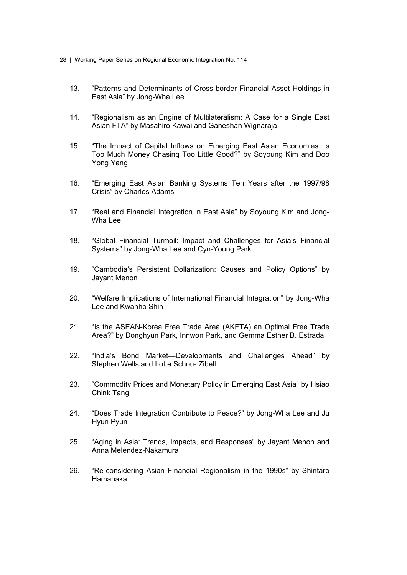- 28 | Working Paper Series on Regional Economic Integration No. 114
	- 13. "Patterns and Determinants of Cross-border Financial Asset Holdings in East Asia" by Jong-Wha Lee
	- 14. "Regionalism as an Engine of Multilateralism: A Case for a Single East Asian FTA" by Masahiro Kawai and Ganeshan Wignaraja
	- 15. "The Impact of Capital Inflows on Emerging East Asian Economies: Is Too Much Money Chasing Too Little Good?" by Soyoung Kim and Doo Yong Yang
	- 16. "Emerging East Asian Banking Systems Ten Years after the 1997/98 Crisis" by Charles Adams
	- 17. "Real and Financial Integration in East Asia" by Soyoung Kim and Jong-Wha Lee
	- 18. "Global Financial Turmoil: Impact and Challenges for Asia's Financial Systems" by Jong-Wha Lee and Cyn-Young Park
	- 19. "Cambodia's Persistent Dollarization: Causes and Policy Options" by Jayant Menon
	- 20. "Welfare Implications of International Financial Integration" by Jong-Wha Lee and Kwanho Shin
	- 21. "Is the ASEAN-Korea Free Trade Area (AKFTA) an Optimal Free Trade Area?" by Donghyun Park, Innwon Park, and Gemma Esther B. Estrada
	- 22. "India's Bond Market—Developments and Challenges Ahead" by Stephen Wells and Lotte Schou- Zibell
	- 23. "Commodity Prices and Monetary Policy in Emerging East Asia" by Hsiao Chink Tang
	- 24. "Does Trade Integration Contribute to Peace?" by Jong-Wha Lee and Ju Hyun Pyun
	- 25. "Aging in Asia: Trends, Impacts, and Responses" by Jayant Menon and Anna Melendez-Nakamura
	- 26. "Re-considering Asian Financial Regionalism in the 1990s" by Shintaro Hamanaka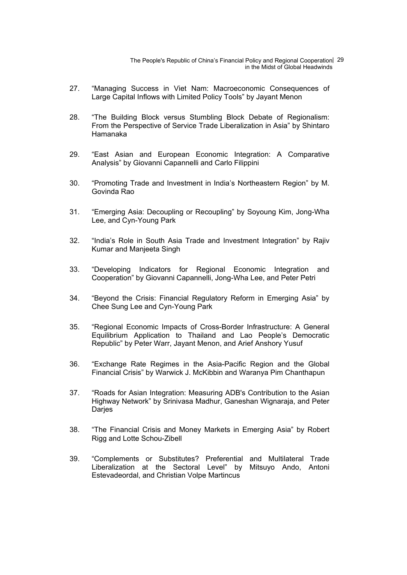The People's Republic of China's Financial Policy and Regional Cooperation | 29 in the Midst of Global Headwinds

- 27. "Managing Success in Viet Nam: Macroeconomic Consequences of Large Capital Inflows with Limited Policy Tools" by Jayant Menon
- 28. "The Building Block versus Stumbling Block Debate of Regionalism: From the Perspective of Service Trade Liberalization in Asia" by Shintaro Hamanaka
- 29. "East Asian and European Economic Integration: A Comparative Analysis" by Giovanni Capannelli and Carlo Filippini
- 30. "Promoting Trade and Investment in India's Northeastern Region" by M. Govinda Rao
- 31. "Emerging Asia: Decoupling or Recoupling" by Soyoung Kim, Jong-Wha Lee, and Cyn-Young Park
- 32. "India's Role in South Asia Trade and Investment Integration" by Rajiv Kumar and Manjeeta Singh
- 33. "Developing Indicators for Regional Economic Integration and Cooperation" by Giovanni Capannelli, Jong-Wha Lee, and Peter Petri
- 34. "Beyond the Crisis: Financial Regulatory Reform in Emerging Asia" by Chee Sung Lee and Cyn-Young Park
- 35. "Regional Economic Impacts of Cross-Border Infrastructure: A General Equilibrium Application to Thailand and Lao People's Democratic Republic" by Peter Warr, Jayant Menon, and Arief Anshory Yusuf
- 36. "Exchange Rate Regimes in the Asia-Pacific Region and the Global Financial Crisis" by Warwick J. McKibbin and Waranya Pim Chanthapun
- 37. "Roads for Asian Integration: Measuring ADB's Contribution to the Asian Highway Network" by Srinivasa Madhur, Ganeshan Wignaraja, and Peter **Darjes**
- 38. "The Financial Crisis and Money Markets in Emerging Asia" by Robert Rigg and Lotte Schou-Zibell
- 39. "Complements or Substitutes? Preferential and Multilateral Trade Liberalization at the Sectoral Level" by Mitsuyo Ando, Antoni Estevadeordal, and Christian Volpe Martincus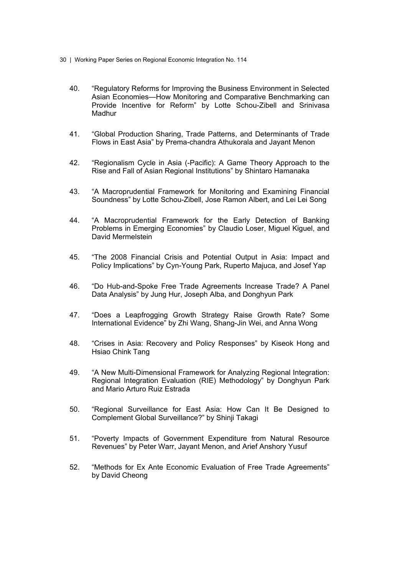- 30 | Working Paper Series on Regional Economic Integration No. 114
	- 40. "Regulatory Reforms for Improving the Business Environment in Selected Asian Economies—How Monitoring and Comparative Benchmarking can Provide Incentive for Reform" by Lotte Schou-Zibell and Srinivasa **Madhur**
	- 41. "Global Production Sharing, Trade Patterns, and Determinants of Trade Flows in East Asia" by Prema-chandra Athukorala and Jayant Menon
	- 42. "Regionalism Cycle in Asia (-Pacific): A Game Theory Approach to the Rise and Fall of Asian Regional Institutions" by Shintaro Hamanaka
	- 43. "A Macroprudential Framework for Monitoring and Examining Financial Soundness" by Lotte Schou-Zibell, Jose Ramon Albert, and Lei Lei Song
	- 44. "A Macroprudential Framework for the Early Detection of Banking Problems in Emerging Economies" by Claudio Loser, Miguel Kiguel, and David Mermelstein
	- 45. "The 2008 Financial Crisis and Potential Output in Asia: Impact and Policy Implications" by Cyn-Young Park, Ruperto Majuca, and Josef Yap
	- 46. "Do Hub-and-Spoke Free Trade Agreements Increase Trade? A Panel Data Analysis" by Jung Hur, Joseph Alba, and Donghyun Park
	- 47. "Does a Leapfrogging Growth Strategy Raise Growth Rate? Some International Evidence" by Zhi Wang, Shang-Jin Wei, and Anna Wong
	- 48. "Crises in Asia: Recovery and Policy Responses" by Kiseok Hong and Hsiao Chink Tang
	- 49. "A New Multi-Dimensional Framework for Analyzing Regional Integration: Regional Integration Evaluation (RIE) Methodology" by Donghyun Park and Mario Arturo Ruiz Estrada
	- 50. "Regional Surveillance for East Asia: How Can It Be Designed to Complement Global Surveillance?" by Shinji Takagi
	- 51. "Poverty Impacts of Government Expenditure from Natural Resource Revenues" by Peter Warr, Jayant Menon, and Arief Anshory Yusuf
	- 52. "Methods for Ex Ante Economic Evaluation of Free Trade Agreements" by David Cheong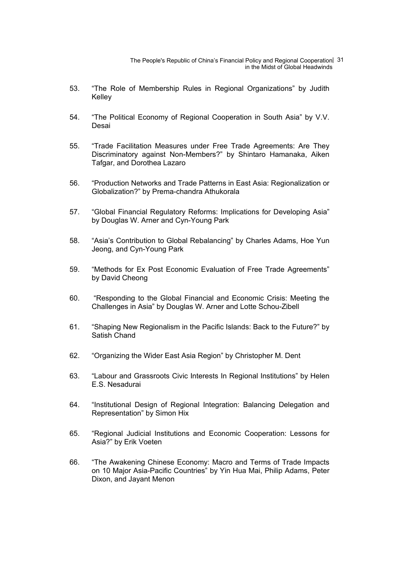The People's Republic of China's Financial Policy and Regional Cooperation 31 in the Midst of Global Headwinds

- 53. "The Role of Membership Rules in Regional Organizations" by Judith Kelley
- 54. "The Political Economy of Regional Cooperation in South Asia" by V.V. Desai
- 55. "Trade Facilitation Measures under Free Trade Agreements: Are They Discriminatory against Non-Members?" by Shintaro Hamanaka, Aiken Tafgar, and Dorothea Lazaro
- 56. "Production Networks and Trade Patterns in East Asia: Regionalization or Globalization?" by Prema-chandra Athukorala
- 57. "Global Financial Regulatory Reforms: Implications for Developing Asia" by Douglas W. Arner and Cyn-Young Park
- 58. "Asia's Contribution to Global Rebalancing" by Charles Adams, Hoe Yun Jeong, and Cyn-Young Park
- 59. "Methods for Ex Post Economic Evaluation of Free Trade Agreements" by David Cheong
- 60. "Responding to the Global Financial and Economic Crisis: Meeting the Challenges in Asia" by Douglas W. Arner and Lotte Schou-Zibell
- 61. "Shaping New Regionalism in the Pacific Islands: Back to the Future?" by Satish Chand
- 62. "Organizing the Wider East Asia Region" by Christopher M. Dent
- 63. "Labour and Grassroots Civic Interests In Regional Institutions" by Helen E.S. Nesadurai
- 64. "Institutional Design of Regional Integration: Balancing Delegation and Representation" by Simon Hix
- 65. "Regional Judicial Institutions and Economic Cooperation: Lessons for Asia?" by Erik Voeten
- 66. "The Awakening Chinese Economy: Macro and Terms of Trade Impacts on 10 Major Asia-Pacific Countries" by Yin Hua Mai, Philip Adams, Peter Dixon, and Jayant Menon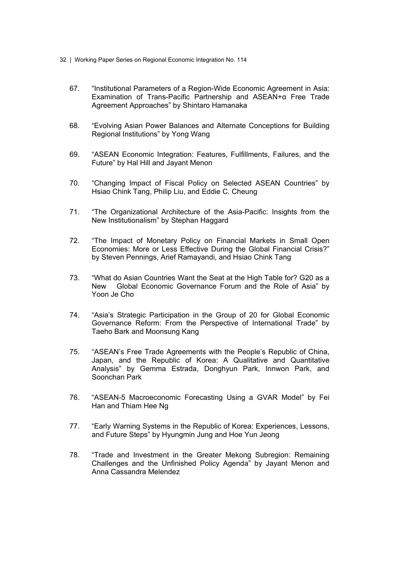- 32 | Working Paper Series on Regional Economic Integration No. 114
	- 67. "Institutional Parameters of a Region-Wide Economic Agreement in Asia: Examination of Trans-Pacific Partnership and ASEAN+α Free Trade Agreement Approaches" by Shintaro Hamanaka
	- 68. "Evolving Asian Power Balances and Alternate Conceptions for Building Regional Institutions" by Yong Wang
	- 69. "ASEAN Economic Integration: Features, Fulfillments, Failures, and the Future" by Hal Hill and Jayant Menon
	- 70. "Changing Impact of Fiscal Policy on Selected ASEAN Countries" by Hsiao Chink Tang, Philip Liu, and Eddie C. Cheung
	- 71. "The Organizational Architecture of the Asia-Pacific: Insights from the New Institutionalism" by Stephan Haggard
	- 72. "The Impact of Monetary Policy on Financial Markets in Small Open Economies: More or Less Effective During the Global Financial Crisis?" by Steven Pennings, Arief Ramayandi, and Hsiao Chink Tang
	- 73. "What do Asian Countries Want the Seat at the High Table for? G20 as a New Global Economic Governance Forum and the Role of Asia" by Yoon Je Cho
	- 74. "Asia's Strategic Participation in the Group of 20 for Global Economic Governance Reform: From the Perspective of International Trade" by Taeho Bark and Moonsung Kang
	- 75. "ASEAN's Free Trade Agreements with the People's Republic of China, Japan, and the Republic of Korea: A Qualitative and Quantitative Analysis" by Gemma Estrada, Donghyun Park, Innwon Park, and Soonchan Park
	- 76. "ASEAN-5 Macroeconomic Forecasting Using a GVAR Model" by Fei Han and Thiam Hee Ng
	- 77. "Early Warning Systems in the Republic of Korea: Experiences, Lessons, and Future Steps" by Hyungmin Jung and Hoe Yun Jeong
	- 78. "Trade and Investment in the Greater Mekong Subregion: Remaining Challenges and the Unfinished Policy Agenda" by Jayant Menon and Anna Cassandra Melendez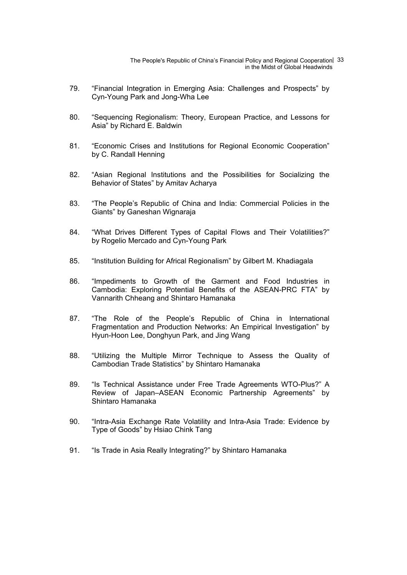The People's Republic of China's Financial Policy and Regional Cooperation 33 in the Midst of Global Headwinds

- 79. "Financial Integration in Emerging Asia: Challenges and Prospects" by Cyn-Young Park and Jong-Wha Lee
- 80. "Sequencing Regionalism: Theory, European Practice, and Lessons for Asia" by Richard E. Baldwin
- 81. "Economic Crises and Institutions for Regional Economic Cooperation" by C. Randall Henning
- 82. "Asian Regional Institutions and the Possibilities for Socializing the Behavior of States" by Amitav Acharya
- 83. "The People's Republic of China and India: Commercial Policies in the Giants" by Ganeshan Wignaraja
- 84. "What Drives Different Types of Capital Flows and Their Volatilities?" by Rogelio Mercado and Cyn-Young Park
- 85. "Institution Building for Africal Regionalism" by Gilbert M. Khadiagala
- 86. "Impediments to Growth of the Garment and Food Industries in Cambodia: Exploring Potential Benefits of the ASEAN-PRC FTA" by Vannarith Chheang and Shintaro Hamanaka
- 87. "The Role of the People's Republic of China in International Fragmentation and Production Networks: An Empirical Investigation" by Hyun-Hoon Lee, Donghyun Park, and Jing Wang
- 88. "Utilizing the Multiple Mirror Technique to Assess the Quality of Cambodian Trade Statistics" by Shintaro Hamanaka
- 89. "Is Technical Assistance under Free Trade Agreements WTO-Plus?" A Review of Japan–ASEAN Economic Partnership Agreements" by Shintaro Hamanaka
- 90. "Intra-Asia Exchange Rate Volatility and Intra-Asia Trade: Evidence by Type of Goods" by Hsiao Chink Tang
- 91. "Is Trade in Asia Really Integrating?" by Shintaro Hamanaka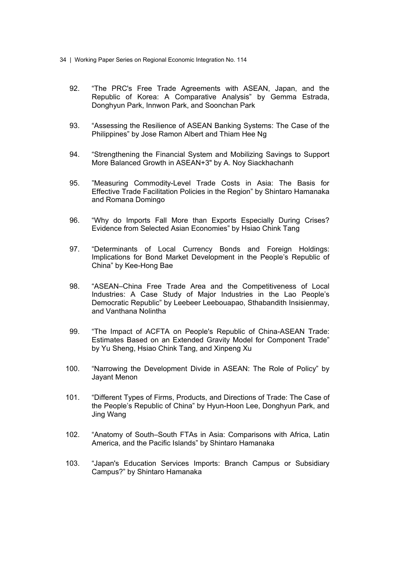- 34 | Working Paper Series on Regional Economic Integration No. 114
	- 92. "The PRC's Free Trade Agreements with ASEAN, Japan, and the Republic of Korea: A Comparative Analysis" by Gemma Estrada, Donghyun Park, Innwon Park, and Soonchan Park
	- 93. "Assessing the Resilience of ASEAN Banking Systems: The Case of the Philippines" by Jose Ramon Albert and Thiam Hee Ng
	- 94. "Strengthening the Financial System and Mobilizing Savings to Support More Balanced Growth in ASEAN+3" by A. Noy Siackhachanh
	- 95. "Measuring Commodity-Level Trade Costs in Asia: The Basis for Effective Trade Facilitation Policies in the Region" by Shintaro Hamanaka and Romana Domingo
	- 96. "Why do Imports Fall More than Exports Especially During Crises? Evidence from Selected Asian Economies" by Hsiao Chink Tang
	- 97. "Determinants of Local Currency Bonds and Foreign Holdings: Implications for Bond Market Development in the People's Republic of China" by Kee-Hong Bae
	- 98. "ASEAN–China Free Trade Area and the Competitiveness of Local Industries: A Case Study of Major Industries in the Lao People's Democratic Republic" by Leebeer Leebouapao, Sthabandith Insisienmay, and Vanthana Nolintha
	- 99. "The Impact of ACFTA on People's Republic of China-ASEAN Trade: Estimates Based on an Extended Gravity Model for Component Trade" by Yu Sheng, Hsiao Chink Tang, and Xinpeng Xu
	- 100. "Narrowing the Development Divide in ASEAN: The Role of Policy" by Jayant Menon
	- 101. "Different Types of Firms, Products, and Directions of Trade: The Case of the People's Republic of China" by Hyun-Hoon Lee, Donghyun Park, and Jing Wang
	- 102. "Anatomy of South–South FTAs in Asia: Comparisons with Africa, Latin America, and the Pacific Islands" by Shintaro Hamanaka
	- 103. "Japan's Education Services Imports: Branch Campus or Subsidiary Campus?" by Shintaro Hamanaka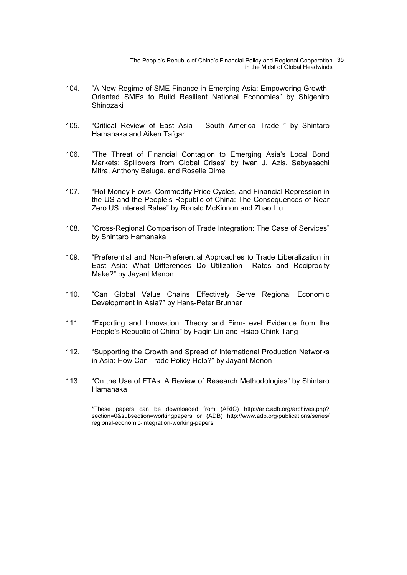The People's Republic of China's Financial Policy and Regional Cooperation | 35 in the Midst of Global Headwinds

- 104. "A New Regime of SME Finance in Emerging Asia: Empowering Growth-Oriented SMEs to Build Resilient National Economies" by Shigehiro Shinozaki
- 105. "Critical Review of East Asia South America Trade " by Shintaro Hamanaka and Aiken Tafgar
- 106. "The Threat of Financial Contagion to Emerging Asia's Local Bond Markets: Spillovers from Global Crises" by Iwan J. Azis, Sabyasachi Mitra, Anthony Baluga, and Roselle Dime
- 107. "Hot Money Flows, Commodity Price Cycles, and Financial Repression in the US and the People's Republic of China: The Consequences of Near Zero US Interest Rates" by Ronald McKinnon and Zhao Liu
- 108. "Cross-Regional Comparison of Trade Integration: The Case of Services" by Shintaro Hamanaka
- 109. "Preferential and Non-Preferential Approaches to Trade Liberalization in East Asia: What Differences Do Utilization Rates and Reciprocity Make?" by Jayant Menon
- 110. "Can Global Value Chains Effectively Serve Regional Economic Development in Asia?" by Hans-Peter Brunner
- 111. "Exporting and Innovation: Theory and Firm-Level Evidence from the People's Republic of China" by Faqin Lin and Hsiao Chink Tang
- 112. "Supporting the Growth and Spread of International Production Networks in Asia: How Can Trade Policy Help?" by Jayant Menon
- 113. "On the Use of FTAs: A Review of Research Methodologies" by Shintaro Hamanaka

\*These papers can be downloaded from (ARIC) http://aric.adb.org/archives.php? section=0&subsection=workingpapers or (ADB) http://www.adb.org/publications/series/ regional-economic-integration-working-papers